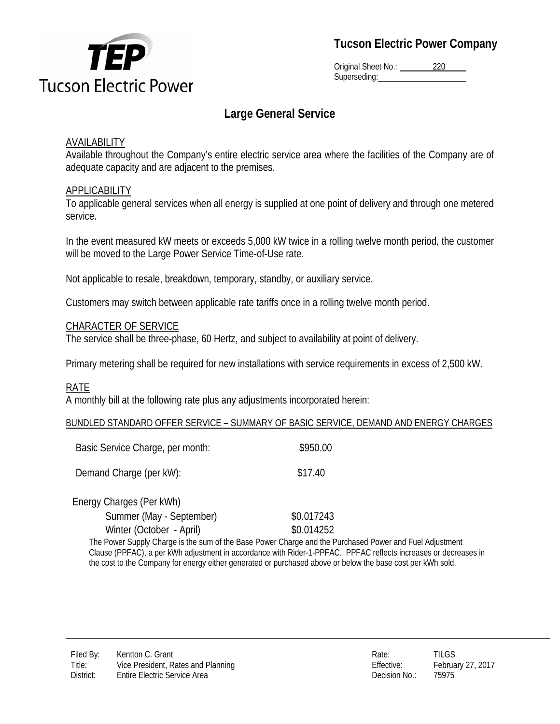

# **Tucson Electric Power Company**

Original Sheet No.: 220 Superseding:

# **Large General Service**

#### AVAILABILITY

Available throughout the Company's entire electric service area where the facilities of the Company are of adequate capacity and are adjacent to the premises.

#### **APPLICABILITY**

To applicable general services when all energy is supplied at one point of delivery and through one metered service.

In the event measured kW meets or exceeds 5,000 kW twice in a rolling twelve month period, the customer will be moved to the Large Power Service Time-of-Use rate.

Not applicable to resale, breakdown, temporary, standby, or auxiliary service.

Customers may switch between applicable rate tariffs once in a rolling twelve month period.

#### CHARACTER OF SERVICE

The service shall be three-phase, 60 Hertz, and subject to availability at point of delivery.

Primary metering shall be required for new installations with service requirements in excess of 2,500 kW.

#### RATE

A monthly bill at the following rate plus any adjustments incorporated herein:

#### BUNDLED STANDARD OFFER SERVICE – SUMMARY OF BASIC SERVICE, DEMAND AND ENERGY CHARGES

| Basic Service Charge, per month: | \$950.00   |
|----------------------------------|------------|
| Demand Charge (per kW):          | \$17.40    |
| Energy Charges (Per kWh)         |            |
| Summer (May - September)         | \$0.017243 |
| Winter (October - April)         | \$0.014252 |

The Power Supply Charge is the sum of the Base Power Charge and the Purchased Power and Fuel Adjustment Clause (PPFAC), a per kWh adjustment in accordance with Rider-1-PPFAC. PPFAC reflects increases or decreases in the cost to the Company for energy either generated or purchased above or below the base cost per kWh sold.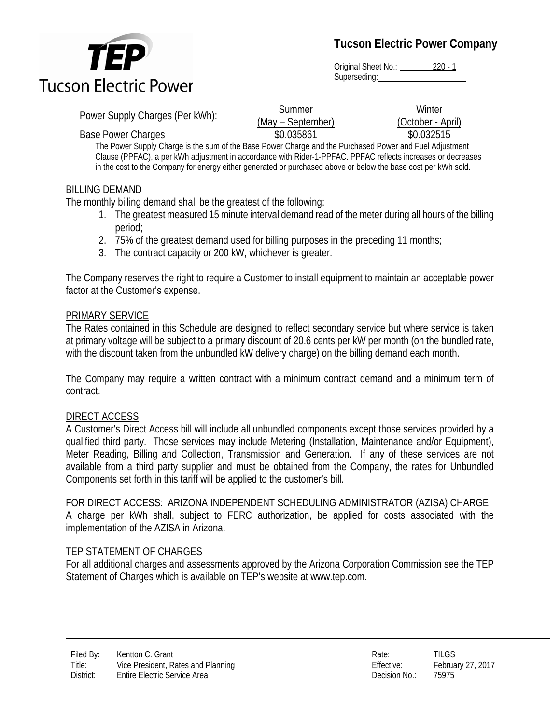

**Tucson Electric Power Company**

Original Sheet No.: 220 - 1 Superseding:

Power Supply Charges (Per kWh): Summer

(May – September) Base Power Charges **19.032515** \$0.035861 \$0.032515

**Winter** (October - April)

The Power Supply Charge is the sum of the Base Power Charge and the Purchased Power and Fuel Adjustment Clause (PPFAC), a per kWh adjustment in accordance with Rider-1-PPFAC. PPFAC reflects increases or decreases in the cost to the Company for energy either generated or purchased above or below the base cost per kWh sold.

## BILLING DEMAND

The monthly billing demand shall be the greatest of the following:

- 1. The greatest measured 15 minute interval demand read of the meter during all hours of the billing period;
- 2. 75% of the greatest demand used for billing purposes in the preceding 11 months;
- 3. The contract capacity or 200 kW, whichever is greater.

The Company reserves the right to require a Customer to install equipment to maintain an acceptable power factor at the Customer's expense.

## PRIMARY SERVICE

The Rates contained in this Schedule are designed to reflect secondary service but where service is taken at primary voltage will be subject to a primary discount of 20.6 cents per kW per month (on the bundled rate, with the discount taken from the unbundled kW delivery charge) on the billing demand each month.

The Company may require a written contract with a minimum contract demand and a minimum term of contract.

# DIRECT ACCESS

A Customer's Direct Access bill will include all unbundled components except those services provided by a qualified third party. Those services may include Metering (Installation, Maintenance and/or Equipment), Meter Reading, Billing and Collection, Transmission and Generation. If any of these services are not available from a third party supplier and must be obtained from the Company, the rates for Unbundled Components set forth in this tariff will be applied to the customer's bill.

FOR DIRECT ACCESS: ARIZONA INDEPENDENT SCHEDULING ADMINISTRATOR (AZISA) CHARGE

A charge per kWh shall, subject to FERC authorization, be applied for costs associated with the implementation of the AZISA in Arizona.

# TEP STATEMENT OF CHARGES

For all additional charges and assessments approved by the Arizona Corporation Commission see the TEP Statement of Charges which is available on TEP's website at www.tep.com.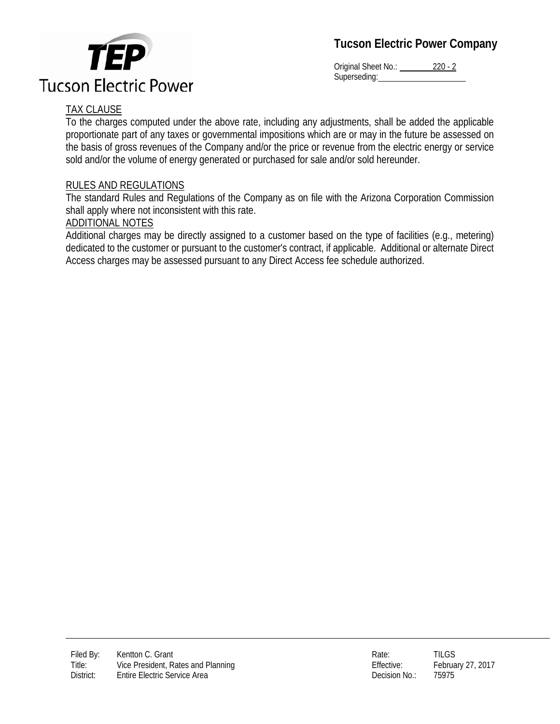

**TEP Tucson Electric Power** 

Original Sheet No.: 220 - 2 Superseding:

# TAX CLAUSE

To the charges computed under the above rate, including any adjustments, shall be added the applicable proportionate part of any taxes or governmental impositions which are or may in the future be assessed on the basis of gross revenues of the Company and/or the price or revenue from the electric energy or service sold and/or the volume of energy generated or purchased for sale and/or sold hereunder.

#### RULES AND REGULATIONS

The standard Rules and Regulations of the Company as on file with the Arizona Corporation Commission shall apply where not inconsistent with this rate.

#### ADDITIONAL NOTES

Additional charges may be directly assigned to a customer based on the type of facilities (e.g., metering) dedicated to the customer or pursuant to the customer's contract, if applicable. Additional or alternate Direct Access charges may be assessed pursuant to any Direct Access fee schedule authorized.